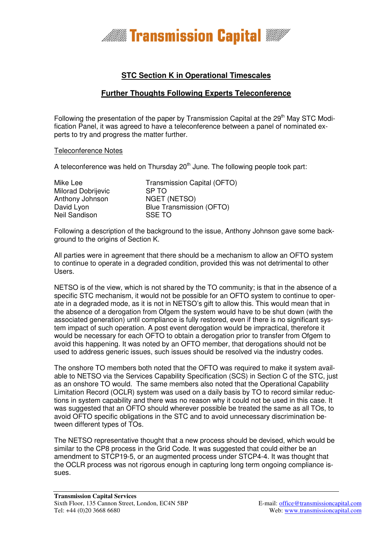

## **STC Section K in Operational Timescales**

### **Further Thoughts Following Experts Teleconference**

Following the presentation of the paper by Transmission Capital at the  $29<sup>th</sup>$  May STC Modification Panel, it was agreed to have a teleconference between a panel of nominated experts to try and progress the matter further.

#### Teleconference Notes

A teleconference was held on Thursday  $20<sup>th</sup>$  June. The following people took part:

| Mike Lee<br><b>Milorad Dobrijevic</b> | Transmission Capital (OFTO)<br>SP TO |
|---------------------------------------|--------------------------------------|
| Anthony Johnson                       | <b>NGET (NETSO)</b>                  |
| David Lyon                            | <b>Blue Transmission (OFTO)</b>      |
| Neil Sandison                         | <b>SSE TO</b>                        |

Following a description of the background to the issue, Anthony Johnson gave some background to the origins of Section K.

All parties were in agreement that there should be a mechanism to allow an OFTO system to continue to operate in a degraded condition, provided this was not detrimental to other Users.

NETSO is of the view, which is not shared by the TO community; is that in the absence of a specific STC mechanism, it would not be possible for an OFTO system to continue to operate in a degraded mode, as it is not in NETSO's gift to allow this. This would mean that in the absence of a derogation from Ofgem the system would have to be shut down (with the associated generation) until compliance is fully restored, even if there is no significant system impact of such operation. A post event derogation would be impractical, therefore it would be necessary for each OFTO to obtain a derogation prior to transfer from Ofgem to avoid this happening. It was noted by an OFTO member, that derogations should not be used to address generic issues, such issues should be resolved via the industry codes.

The onshore TO members both noted that the OFTO was required to make it system available to NETSO via the Services Capability Specification (SCS) in Section C of the STC, just as an onshore TO would. The same members also noted that the Operational Capability Limitation Record (OCLR) system was used on a daily basis by TO to record similar reductions in system capability and there was no reason why it could not be used in this case. It was suggested that an OFTO should wherever possible be treated the same as all TOs, to avoid OFTO specific obligations in the STC and to avoid unnecessary discrimination between different types of TOs.

The NETSO representative thought that a new process should be devised, which would be similar to the CP8 process in the Grid Code. It was suggested that could either be an amendment to STCP19-5, or an augmented process under STCP4-4. It was thought that the OCLR process was not rigorous enough in capturing long term ongoing compliance issues.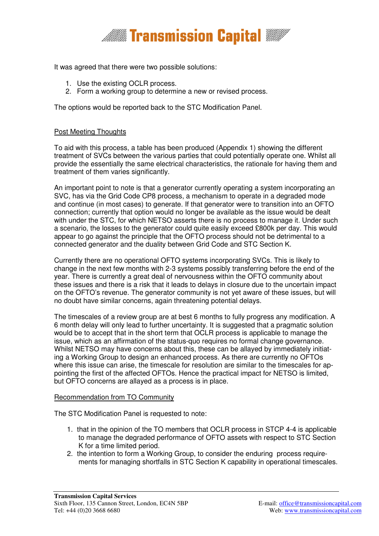

It was agreed that there were two possible solutions:

- 1. Use the existing OCLR process.
- 2. Form a working group to determine a new or revised process.

The options would be reported back to the STC Modification Panel.

#### Post Meeting Thoughts

To aid with this process, a table has been produced (Appendix 1) showing the different treatment of SVCs between the various parties that could potentially operate one. Whilst all provide the essentially the same electrical characteristics, the rationale for having them and treatment of them varies significantly.

An important point to note is that a generator currently operating a system incorporating an SVC, has via the Grid Code CP8 process, a mechanism to operate in a degraded mode and continue (in most cases) to generate. If that generator were to transition into an OFTO connection; currently that option would no longer be available as the issue would be dealt with under the STC, for which NETSO asserts there is no process to manage it. Under such a scenario, the losses to the generator could quite easily exceed £800k per day. This would appear to go against the principle that the OFTO process should not be detrimental to a connected generator and the duality between Grid Code and STC Section K.

Currently there are no operational OFTO systems incorporating SVCs. This is likely to change in the next few months with 2-3 systems possibly transferring before the end of the year. There is currently a great deal of nervousness within the OFTO community about these issues and there is a risk that it leads to delays in closure due to the uncertain impact on the OFTO's revenue. The generator community is not yet aware of these issues, but will no doubt have similar concerns, again threatening potential delays.

The timescales of a review group are at best 6 months to fully progress any modification. A 6 month delay will only lead to further uncertainty. It is suggested that a pragmatic solution would be to accept that in the short term that OCLR process is applicable to manage the issue, which as an affirmation of the status-quo requires no formal change governance. Whilst NETSO may have concerns about this, these can be allayed by immediately initiating a Working Group to design an enhanced process. As there are currently no OFTOs where this issue can arise, the timescale for resolution are similar to the timescales for appointing the first of the affected OFTOs. Hence the practical impact for NETSO is limited, but OFTO concerns are allayed as a process is in place.

#### Recommendation from TO Community

The STC Modification Panel is requested to note:

- 1. that in the opinion of the TO members that OCLR process in STCP 4-4 is applicable to manage the degraded performance of OFTO assets with respect to STC Section K for a time limited period.
- 2. the intention to form a Working Group, to consider the enduring process requirements for managing shortfalls in STC Section K capability in operational timescales.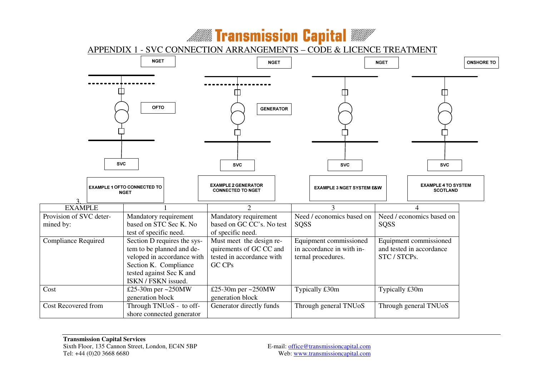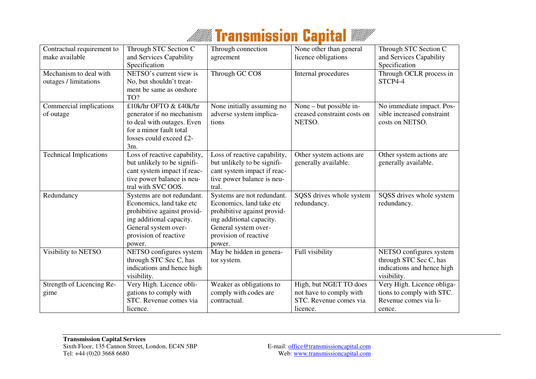# **Millian** Transmission Capital **WANT**

| Contractual requirement to<br>make available    | Through STC Section C<br>and Services Capability                                                                                                                             | Through connection<br>agreement                                                                                                                                              | None other than general<br>licence obligations                                          | Through STC Section C<br>and Services Capability                                               |
|-------------------------------------------------|------------------------------------------------------------------------------------------------------------------------------------------------------------------------------|------------------------------------------------------------------------------------------------------------------------------------------------------------------------------|-----------------------------------------------------------------------------------------|------------------------------------------------------------------------------------------------|
|                                                 | Specification                                                                                                                                                                |                                                                                                                                                                              |                                                                                         | Specification                                                                                  |
| Mechanism to deal with<br>outages / limitations | NETSO's current view is<br>No, but shouldn't treat-<br>ment be same as onshore<br>TO?                                                                                        | Through GC CO8                                                                                                                                                               | Internal procedures                                                                     | Through OCLR process in<br>STCP4-4                                                             |
| Commercial implications<br>of outage            | £10k/hr OFTO & £40k/hr<br>generator if no mechanism<br>to deal with outages. Even<br>for a minor fault total<br>losses could exceed £2-<br>$3m$ .                            | None initially assuming no<br>adverse system implica-<br>tions                                                                                                               | None – but possible in-<br>creased constraint costs on<br>NETSO.                        | No immediate impact. Pos-<br>sible increased constraint<br>costs on NETSO.                     |
| <b>Technical Implications</b>                   | Loss of reactive capability,<br>but unlikely to be signifi-<br>cant system impact if reac-<br>tive power balance is neu-<br>tral with SVC OOS.                               | Loss of reactive capability,<br>but unlikely to be signifi-<br>cant system impact if reac-<br>tive power balance is neu-<br>tral.                                            | Other system actions are<br>generally available.                                        | Other system actions are<br>generally available.                                               |
| Redundancy                                      | Systems are not redundant.<br>Economics, land take etc<br>prohibitive against provid-<br>ing additional capacity.<br>General system over-<br>provision of reactive<br>power. | Systems are not redundant.<br>Economics, land take etc<br>prohibitive against provid-<br>ing additional capacity.<br>General system over-<br>provision of reactive<br>power. | SQSS drives whole system<br>redundancy.                                                 | SQSS drives whole system<br>redundancy.                                                        |
| Visibility to NETSO                             | NETSO configures system<br>through STC Sec C, has<br>indications and hence high<br>visibility.                                                                               | $\overline{\text{May}}$ be hidden in genera-<br>tor system.                                                                                                                  | Full visibility                                                                         | NETSO configures system<br>through STC Sec C, has<br>indications and hence high<br>visibility. |
| Strength of Licencing Re-<br>gime               | Very High. Licence obli-<br>gations to comply with<br>STC. Revenue comes via<br>licence.                                                                                     | Weaker as obligations to<br>comply with codes are<br>contractual.                                                                                                            | High, but NGET TO does<br>not have to comply with<br>STC. Revenue comes via<br>licence. | Very High. Licence obliga-<br>tions to comply with STC.<br>Revenue comes via li-<br>cence.     |